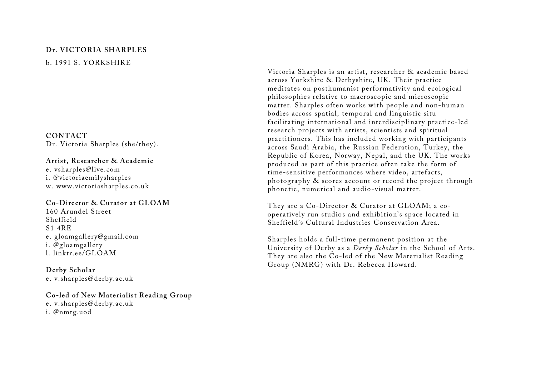# **Dr. VICTORIA SHARPLES** b. 1991 S. YORKSHIRE

**CONTACT**  Dr. Victoria Sharples (she/they).

### **Artist, Researcher & Academic**  e. vsharples@live.com i. @victoriaemilysharples w. www.victoriasharples.co.uk

## **Co-Director & Curator at GLOAM**

160 Arundel Street Sheffield S1 4RE e. gloamgallery@gmail.com i. @gloamgallery l. linktr.ee/GLOAM

**Derby Scholar**  e. v.sharples@derby.ac.uk

**Co-led of New Materialist Reading Group**  e. v.sharples@derby.ac.uk i. @nmrg.uod

Victoria Sharples is an artist, researcher & academic based across Yorkshire & Derbyshire, UK. Their practice meditates on posthumanist performativity and ecological philosophies relative to macroscopic and microscopic matter. Sharples often works with people and non-human bodies across spatial, temporal and linguistic situ facilitating international and interdisciplinary practice-led research projects with artists, scientists and spiritual practitioners. This has included working with participants across Saudi Arabia, the Russian Federation, Turkey, the Republic of Korea, Norway, Nepal, and the UK. The works produced as part of this practice often take the form of time-sensitive performances where video, artefacts, photography & scores account or record the project through phonetic, numerical and audio-visual matter.

They are a Co-Director & Curator at GLOAM; a cooperatively run studios and exhibition's space located in Sheffield's Cultural Industries Conservation Area.

Sharples holds a full-time permanent position at the University of Derby as a *Derby Scholar* in the School of Arts. They are also the Co-led of the New Materialist Reading Group (NMRG) with Dr. Rebecca Howard.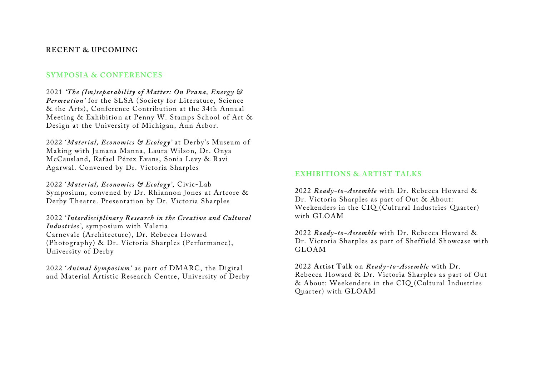### **RECENT & UPCOMING**

#### **SYMPOSIA & CONFERENCES**

2021 *'The (Im)separability of Matter: On Prana, Energy & Permeation'* for the SLSA (Society for Literature, Science & the Arts), Conference Contribution at the 34th Annual Meeting & Exhibition at Penny W. Stamps School of Art & Design at the University of Michigan, Ann Arbor.

2022 '*Material, Economics & Ecology'* at Derby's Museum of Making with Jumana Manna, Laura Wilson, Dr. Onya McCausland, Rafael Pérez Evans, Sonia Levy & Ravi Agarwal. Convened by Dr. Victoria Sharples

2022 '*Material, Economics & Ecology'*, Civic-Lab Symposium, convened by Dr. Rhiannon Jones at Artcore & Derby Theatre. Presentation by Dr. Victoria Sharples

2022 '*Interdisciplinary Research in the Creative and Cultural Industries'*, symposium with Valeria Carnevale (Architecture), Dr. Rebecca Howard (Photography) & Dr. Victoria Sharples (Performance), University of Derby

2022 '*Animal Symposium'* as part of DMARC, the Digital and Material Artistic Research Centre, University of Derby

### **EXHIBITIONS & ARTIST TALKS**

2022 *Ready-to-Assemble* with Dr. Rebecca Howard & Dr. Victoria Sharples as part of Out & About: Weekenders in the CIQ (Cultural Industries Quarter) with GLOAM

2022 *Ready-to-Assemble* with Dr. Rebecca Howard & Dr. Victoria Sharples as part of Sheffield Showcase with GLOAM

2022 **Artist Talk** on *Ready-to-Assemble* with Dr. Rebecca Howard & Dr. Victoria Sharples as part of Out & About: Weekenders in the CIQ (Cultural Industries Quarter) with GLOAM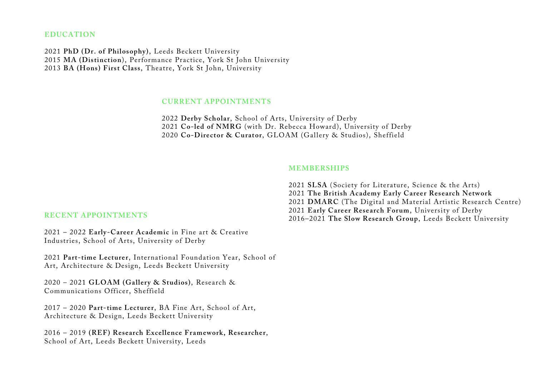#### **EDUCATION**

2021 **PhD (Dr. of Philosophy)**, Leeds Beckett University 2015 **MA (Distinction**), Performance Practice, York St John University 2013 **BA (Hons) First Class**, Theatre, York St John, University

#### **CURRENT APPOINTMENTS**

2022 **Derby Scholar**, School of Arts, University of Derby 2021 **Co-led of NMRG** (with Dr. Rebecca Howard), University of Derby 2020 **Co-Director & Curator**, GLOAM (Gallery & Studios), Sheffield

#### **MEMBERSHIPS**

**SLSA** (Society for Literature, Science & the Arts) **The British Academy Early Career Research Network DMARC** (The Digital and Material Artistic Research Centre) **Early Career Research Forum**, University of Derby 2016–2021 **The Slow Research Group**, Leeds Beckett University

## **RECENT APPOINTMENTS**

2021 – 2022 **Early-Career Academic** in Fine art & Creative Industries, School of Arts, University of Derby

2021 **Part-time Lecturer**, International Foundation Year, School of Art, Architecture & Design, Leeds Beckett University

2020 – 2021 **GLOAM (Gallery & Studios)**, Research & Communications Officer, Sheffield

2017 – 2020 **Part-time Lecturer**, BA Fine Art, School of Art, Architecture & Design, Leeds Beckett University

2016 – 2019 **(REF) Research Excellence Framework, Researcher**, School of Art, Leeds Beckett University, Leeds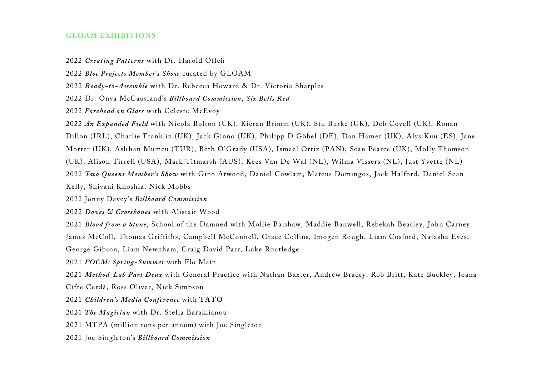### **GLOAM EXHIBITIONS**

#### 2022 *Creating Patterns* with Dr. Harold Offeh

- 2022 *Bloc Projects Member's Show* curated by GLOAM
- 2022 *Ready-to-Assemble* with Dr. Rebecca Howard & Dr. Victoria Sharples
- 2022 Dr. Onya McCausland's *Billboard Commission*, *Six Bells Red*
- 2022 *Forehead on Glass* with Celeste McEvoy
- 2022 *An Expanded Field* with Nicola Bolton (UK), Kieran Brimm (UK), Stu Burke (UK), Deb Covell (UK), Ronan
- Dillon (IRL), Charlie Franklin (UK), Jack Ginno (UK), Philipp D Göbel (DE), Dan Hamer (UK), Alys Kuu (ES), Jane
- Morter (UK), Aslιhan Mumcu (TUR), Beth O'Grady (USA), Ismael Ortiz (PAN), Sean Pearce (UK), Molly Thomson
- (UK), Alison Tirrell (USA), Mark Titmarsh (AUS), Kees Van De Wal (NL), Wilma Vissers (NL), Just Yvette (NL)
- 2022 *Two Queens Member's Show* with Gino Atwood, Daniel Cowlam, Mateus Domingos, Jack Halford, Daniel Sean
- Kelly, Shivani Khoshia, Nick Mobbs
- 2022 Jonny Davey's *Billboard Commission*
- 2022 *Doves & Crossbones* with Alistair Wood
- 2021 *Blood from a Stone*, School of the Damned with Mollie Balshaw, Maddie Banwell, Rebekah Beasley, John Carney
- James McColl, Thomas Griffiths, Campbell McConnell, Grace Collins, Imogen Rough, Liam Cosford, Natasha Eves,
- George Gibson, Liam Newnham, Craig David Parr, Luke Routledge
- 2021 *FOCM: Spring-Summer* with Flo Main
- 2021 *Method-Lab Part Deux* with General Practice with Nathan Baxter, Andrew Bracey, Rob Britt, Kate Buckley, Joana
- Cifre Cerdà, Ross Oliver, Nick Simpson
- 2021 *Children's Media Conference* with **TATO**
- 2021 *The Magician* with Dr. Stella Baraklianou
- 2021 MTPA (million tons per annum) with Joe Singleton
- 2021 Joe Singleton's *Billboard Commission*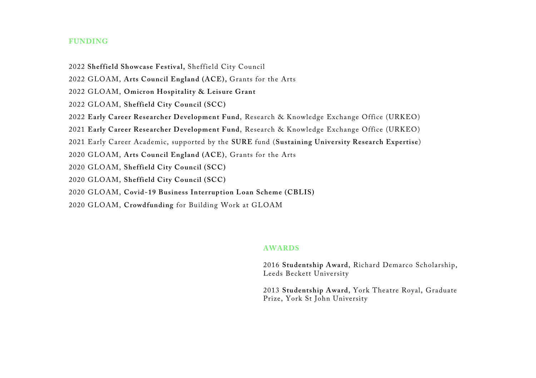### **FUNDING**

- 2022 **Sheffield Showcase Festival,** Sheffield City Council
- 2022 GLOAM, **Arts Council England (ACE),** Grants for the Arts
- 2022 GLOAM, **Omicron Hospitality & Leisure Grant**
- 2022 GLOAM, **Sheffield City Council (SCC)**
- 2022 **Early Career Researcher Development Fund**, Research & Knowledge Exchange Office (URKEO)
- 2021 **Early Career Researcher Development Fund**, Research & Knowledge Exchange Office (URKEO)
- 2021 Early Career Academic, supported by the **SURE** fund (**Sustaining University Research Expertise**)
- 2020 GLOAM, **Arts Council England (ACE)**, Grants for the Arts
- 2020 GLOAM, **Sheffield City Council (SCC)**
- 2020 GLOAM, **Sheffield City Council (SCC)**
- 2020 GLOAM, **Covid-19 Business Interruption Loan Scheme (CBLIS)**
- 2020 GLOAM, **Crowdfunding** for Building Work at GLOAM

#### **AWARDS**

2016 **Studentship Award**, Richard Demarco Scholarship, Leeds Beckett University

2013 **Studentship Award**, York Theatre Royal, Graduate Prize, York St John University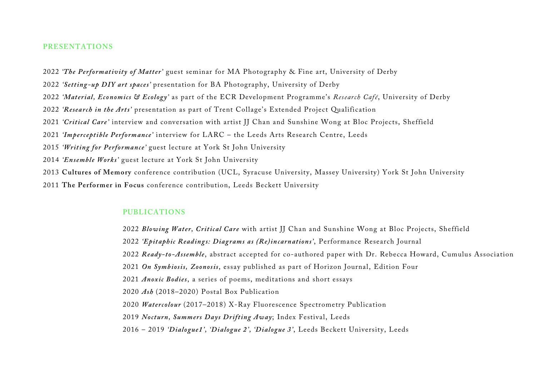#### **PRESENTATIONS**

*'The Performativity of Matter'* guest seminar for MA Photography & Fine art, University of Derby

*'Setting -up DIY art spaces'* presentation for BA Photography, University of Derby

*'Material, Economics & Ecology'* as part of the ECR Development Programme's *Research Café*, University of Derby

*'Research in the Arts'* presentation as part of Trent Collage's Extended Project Qualification

*'Critical Care'* interview and conversation with artist JJ Chan and Sunshine Wong at Bloc Projects, Sheffield

*'Imperceptible Performance'* interview for LARC – the Leeds Arts Research Centre, Leeds

*'Writing for Performance'* guest lecture at York St John University

*'Ensemble Works'* guest lecture at York St John University

**Cultures of Memory** conference contribution (UCL, Syracuse University, Massey University) York St John University

**The Performer in Focus** conference contribution, Leeds Beckett University

#### **PUBLICATIONS**

*Blowing Water, Critical Care* with artist JJ Chan and Sunshine Wong at Bloc Projects, Sheffield *'Epitaphic Readings: Diagrams as (Re)incarnations'*, Performance Research Journal *Ready-to-Assemble*, abstract accepted for co-authored paper with Dr. Rebecca Howard, Cumulus Association *On Symbiosis, Zoonosis*, essay published as part of Horizon Journal, Edition Four *Anoxic Bodies*, a series of poems, meditations and short essays *Ash* (2018–2020) Postal Box Publication *Watercolour* (2017–2018) X-Ray Fluorescence Spectrometry Publication *Nocturn, Summers Days Drifting Away*; Index Festival, Leeds 2016 – 2019 *'Dialogue1', 'Dialogue 2', 'Dialogue 3'*, Leeds Beckett University, Leeds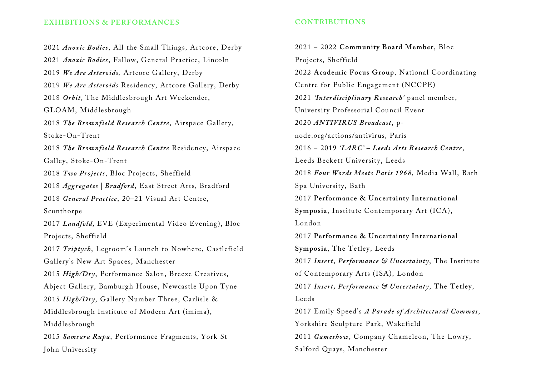### **EXHIBITIONS & PERFORMANCES**

2021 *Anoxic Bodies*, All the Small Things, Artcore, Derby 2021 *Anoxic Bodies*, Fallow, General Practice, Lincoln 2019 *We Are Asteroids,* Artcore Gallery, Derby 2019 *We Are Asteroids* Residency, Artcore Gallery, Derby 2018 *Orbit,* The Middlesbrough Art Weekender, GLOAM, Middlesbrough 2018 *The Brownfield Research Centre*, Airspace Gallery, Stoke-On-Trent 2018 *The Brownfield Research Centre* Residency, Airspace Galley, Stoke-On-Trent 2018 *Two Projects*, Bloc Projects, Sheffield 2018 *Aggregates | Bradford*, East Street Arts, Bradford 2018 *General Practice*, 20–21 Visual Art Centre, Scunthorpe 2017 *Landfold,* EVE (Experimental Video Evening), Bloc Projects, Sheffield 2017 *Triptych*, Legroom's Launch to Nowhere, Castlefield Gallery's New Art Spaces, Manchester 2015 *High/Dry*, Performance Salon, Breeze Creatives, Abject Gallery, Bamburgh House, Newcastle Upon Tyne 2015 *High/Dry*, Gallery Number Three, Carlisle & Middlesbrough Institute of Modern Art (imima), Middlesbrough 2015 *Samsara Rupa*, Performance Fragments, York St John University

## **CONTRIBUTIONS**

2021 – 2022 **Community Board Member**, Bloc Projects, Sheffield 2022 **Academic Focus Group**, National Coordinating Centre for Public Engagement (NCCPE) 2021 *'Interdisciplinary Research'* panel member, University Professorial Council Event 2020 *ANTIVIRUS Broadcast*, pnode.org/actions/antivirus, Paris 2016 – 2019 *'LARC' – Leeds Arts Research Centre*, Leeds Beckett University, Leeds 2018 *Four Words Meets Paris 1968*, Media Wall, Bath Spa University, Bath 2017 **Performance & Uncertainty International Symposia**, Institute Contemporary Art (ICA), London 2017 **Performance & Uncertainty International Symposia**, The Tetley, Leeds 2017 *Insert, Performance & Uncertainty*, The Institute of Contemporary Arts (ISA), London 2017 *Insert, Performance & Uncertainty*, The Tetley, Leeds 2017 Emily Speed's *A Parade of Architectural Commas*, Yorkshire Sculpture Park, Wakefield 2011 *Gameshow*, Company Chameleon, The Lowry, Salford Quays, Manchester